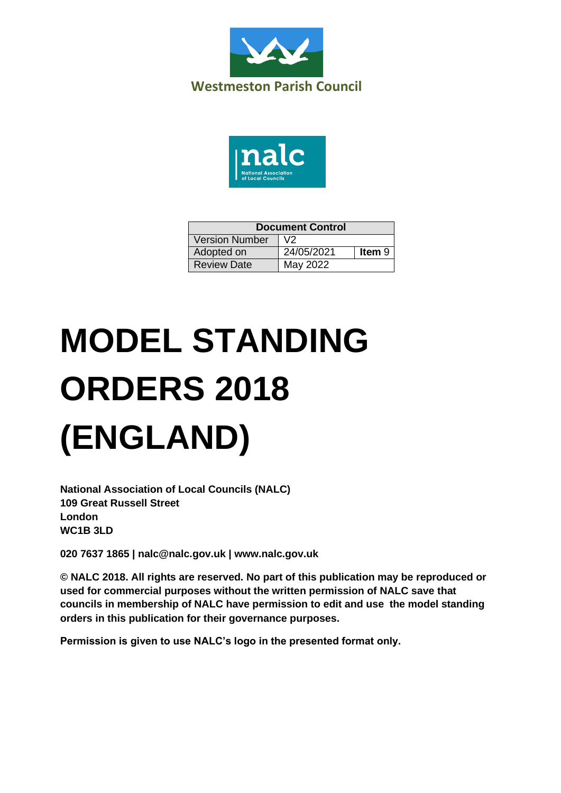



| <b>Document Control</b> |            |               |
|-------------------------|------------|---------------|
| <b>Version Number</b>   | V2         |               |
| Adopted on              | 24/05/2021 | <b>Item 9</b> |
| <b>Review Date</b>      | May 2022   |               |

# **MODEL STANDING ORDERS 2018 (ENGLAND)**

**National Association of Local Councils (NALC) 109 Great Russell Street London WC1B 3LD**

**020 7637 1865 | nalc@nalc.gov.uk | www.nalc.gov.uk**

**© NALC 2018. All rights are reserved. No part of this publication may be reproduced or used for commercial purposes without the written permission of NALC save that councils in membership of NALC have permission to edit and use the model standing orders in this publication for their governance purposes.**

**Permission is given to use NALC's logo in the presented format only.**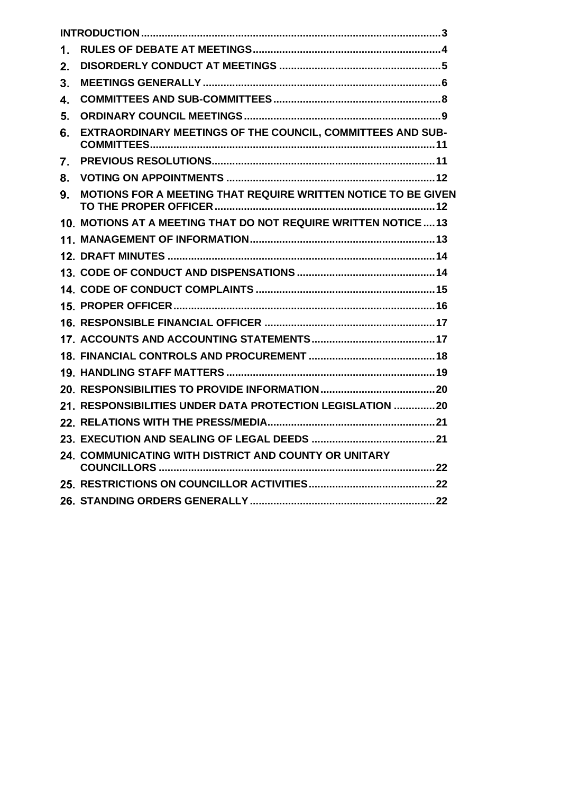| $\mathbf 1$ .  |                                                               |
|----------------|---------------------------------------------------------------|
| 2.             |                                                               |
| 3 <sub>1</sub> |                                                               |
| 4.             |                                                               |
| 5.             |                                                               |
| 6.             | EXTRAORDINARY MEETINGS OF THE COUNCIL, COMMITTEES AND SUB-    |
| 7.             |                                                               |
| 8.             |                                                               |
| 9.             | MOTIONS FOR A MEETING THAT REQUIRE WRITTEN NOTICE TO BE GIVEN |
|                | 10. MOTIONS AT A MEETING THAT DO NOT REQUIRE WRITTEN NOTICE13 |
|                |                                                               |
|                |                                                               |
|                |                                                               |
|                |                                                               |
|                |                                                               |
|                |                                                               |
|                |                                                               |
|                |                                                               |
|                |                                                               |
|                |                                                               |
|                | 21. RESPONSIBILITIES UNDER DATA PROTECTION LEGISLATION 20     |
|                |                                                               |
|                |                                                               |
|                | 24. COMMUNICATING WITH DISTRICT AND COUNTY OR UNITARY         |
|                |                                                               |
|                |                                                               |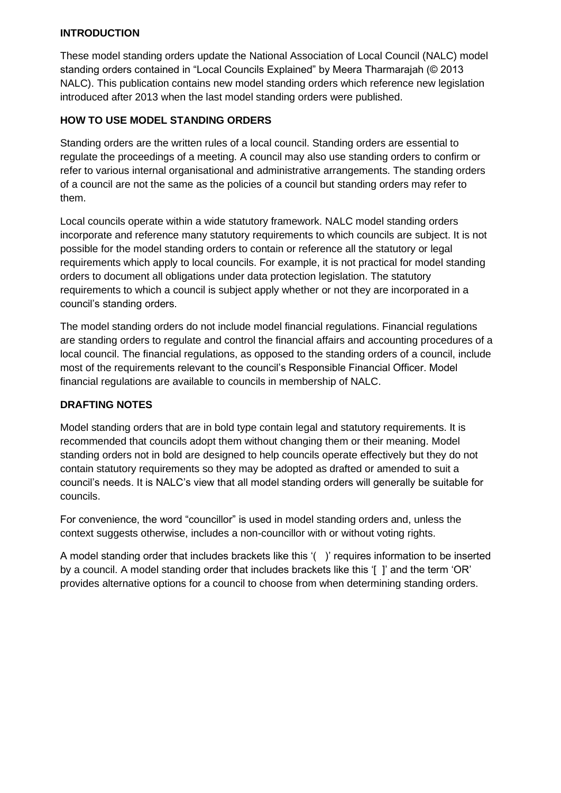# <span id="page-2-0"></span>**INTRODUCTION**

These model standing orders update the National Association of Local Council (NALC) model standing orders contained in "Local Councils Explained" by Meera Tharmarajah (© 2013 NALC). This publication contains new model standing orders which reference new legislation introduced after 2013 when the last model standing orders were published.

# **HOW TO USE MODEL STANDING ORDERS**

Standing orders are the written rules of a local council. Standing orders are essential to regulate the proceedings of a meeting. A council may also use standing orders to confirm or refer to various internal organisational and administrative arrangements. The standing orders of a council are not the same as the policies of a council but standing orders may refer to them.

Local councils operate within a wide statutory framework. NALC model standing orders incorporate and reference many statutory requirements to which councils are subject. It is not possible for the model standing orders to contain or reference all the statutory or legal requirements which apply to local councils. For example, it is not practical for model standing orders to document all obligations under data protection legislation. The statutory requirements to which a council is subject apply whether or not they are incorporated in a council's standing orders.

The model standing orders do not include model financial regulations. Financial regulations are standing orders to regulate and control the financial affairs and accounting procedures of a local council. The financial regulations, as opposed to the standing orders of a council, include most of the requirements relevant to the council's Responsible Financial Officer. Model financial regulations are available to councils in membership of NALC.

## **DRAFTING NOTES**

Model standing orders that are in bold type contain legal and statutory requirements. It is recommended that councils adopt them without changing them or their meaning. Model standing orders not in bold are designed to help councils operate effectively but they do not contain statutory requirements so they may be adopted as drafted or amended to suit a council's needs. It is NALC's view that all model standing orders will generally be suitable for councils.

For convenience, the word "councillor" is used in model standing orders and, unless the context suggests otherwise, includes a non-councillor with or without voting rights.

A model standing order that includes brackets like this '( )' requires information to be inserted by a council. A model standing order that includes brackets like this '[ ]' and the term 'OR' provides alternative options for a council to choose from when determining standing orders.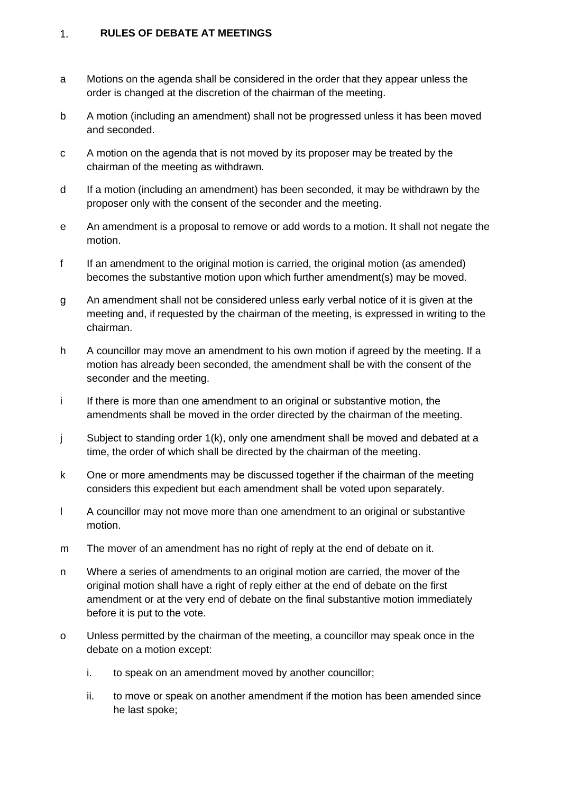#### <span id="page-3-0"></span>**RULES OF DEBATE AT MEETINGS**  $1.$

- a Motions on the agenda shall be considered in the order that they appear unless the order is changed at the discretion of the chairman of the meeting.
- b A motion (including an amendment) shall not be progressed unless it has been moved and seconded.
- c A motion on the agenda that is not moved by its proposer may be treated by the chairman of the meeting as withdrawn.
- d If a motion (including an amendment) has been seconded, it may be withdrawn by the proposer only with the consent of the seconder and the meeting.
- e An amendment is a proposal to remove or add words to a motion. It shall not negate the motion.
- f If an amendment to the original motion is carried, the original motion (as amended) becomes the substantive motion upon which further amendment(s) may be moved.
- g An amendment shall not be considered unless early verbal notice of it is given at the meeting and, if requested by the chairman of the meeting, is expressed in writing to the chairman.
- h A councillor may move an amendment to his own motion if agreed by the meeting. If a motion has already been seconded, the amendment shall be with the consent of the seconder and the meeting.
- i If there is more than one amendment to an original or substantive motion, the amendments shall be moved in the order directed by the chairman of the meeting.
- j Subject to standing order 1(k), only one amendment shall be moved and debated at a time, the order of which shall be directed by the chairman of the meeting.
- k One or more amendments may be discussed together if the chairman of the meeting considers this expedient but each amendment shall be voted upon separately.
- l A councillor may not move more than one amendment to an original or substantive motion.
- m The mover of an amendment has no right of reply at the end of debate on it.
- n Where a series of amendments to an original motion are carried, the mover of the original motion shall have a right of reply either at the end of debate on the first amendment or at the very end of debate on the final substantive motion immediately before it is put to the vote.
- o Unless permitted by the chairman of the meeting, a councillor may speak once in the debate on a motion except:
	- i. to speak on an amendment moved by another councillor;
	- ii. to move or speak on another amendment if the motion has been amended since he last spoke;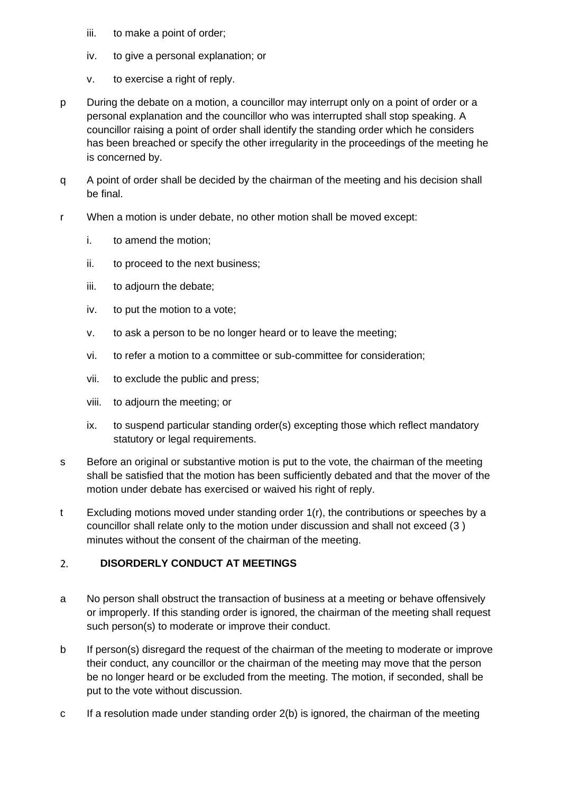- iii. to make a point of order;
- iv. to give a personal explanation; or
- v. to exercise a right of reply.
- p During the debate on a motion, a councillor may interrupt only on a point of order or a personal explanation and the councillor who was interrupted shall stop speaking. A councillor raising a point of order shall identify the standing order which he considers has been breached or specify the other irregularity in the proceedings of the meeting he is concerned by.
- q A point of order shall be decided by the chairman of the meeting and his decision shall be final.
- r When a motion is under debate, no other motion shall be moved except:
	- i. to amend the motion;
	- ii. to proceed to the next business;
	- iii. to adjourn the debate;
	- iv. to put the motion to a vote;
	- v. to ask a person to be no longer heard or to leave the meeting;
	- vi. to refer a motion to a committee or sub-committee for consideration;
	- vii. to exclude the public and press;
	- viii. to adjourn the meeting; or
	- ix. to suspend particular standing order(s) excepting those which reflect mandatory statutory or legal requirements.
- s Before an original or substantive motion is put to the vote, the chairman of the meeting shall be satisfied that the motion has been sufficiently debated and that the mover of the motion under debate has exercised or waived his right of reply.
- t Excluding motions moved under standing order 1(r), the contributions or speeches by a councillor shall relate only to the motion under discussion and shall not exceed (3 ) minutes without the consent of the chairman of the meeting.

#### <span id="page-4-0"></span> $2<sub>1</sub>$ **DISORDERLY CONDUCT AT MEETINGS**

- a No person shall obstruct the transaction of business at a meeting or behave offensively or improperly. If this standing order is ignored, the chairman of the meeting shall request such person(s) to moderate or improve their conduct.
- b If person(s) disregard the request of the chairman of the meeting to moderate or improve their conduct, any councillor or the chairman of the meeting may move that the person be no longer heard or be excluded from the meeting. The motion, if seconded, shall be put to the vote without discussion.
- c If a resolution made under standing order 2(b) is ignored, the chairman of the meeting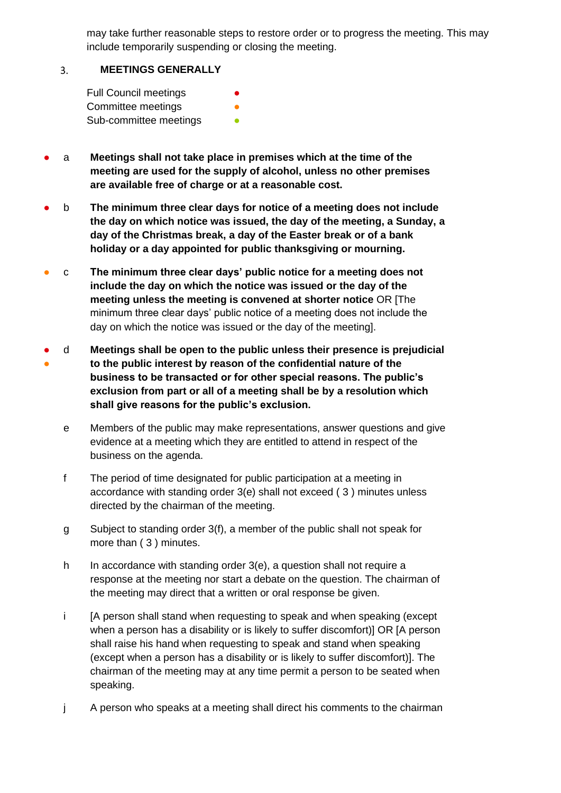may take further reasonable steps to restore order or to progress the meeting. This may include temporarily suspending or closing the meeting.

#### <span id="page-5-0"></span>**MEETINGS GENERALLY**  $3.$

| <b>Full Council meetings</b> | $\bullet$ |
|------------------------------|-----------|
| Committee meetings           | ●         |
| Sub-committee meetings       |           |

- a **Meetings shall not take place in premises which at the time of the meeting are used for the supply of alcohol, unless no other premises are available free of charge or at a reasonable cost.**
- b **The minimum three clear days for notice of a meeting does not include the day on which notice was issued, the day of the meeting, a Sunday, a day of the Christmas break, a day of the Easter break or of a bank holiday or a day appointed for public thanksgiving or mourning.**
- c **The minimum three clear days' public notice for a meeting does not include the day on which the notice was issued or the day of the meeting unless the meeting is convened at shorter notice** OR [The minimum three clear days' public notice of a meeting does not include the day on which the notice was issued or the day of the meeting].
- ● d **Meetings shall be open to the public unless their presence is prejudicial to the public interest by reason of the confidential nature of the business to be transacted or for other special reasons. The public's exclusion from part or all of a meeting shall be by a resolution which shall give reasons for the public's exclusion.**
	- e Members of the public may make representations, answer questions and give evidence at a meeting which they are entitled to attend in respect of the business on the agenda.
	- f The period of time designated for public participation at a meeting in accordance with standing order 3(e) shall not exceed ( 3 ) minutes unless directed by the chairman of the meeting.
	- g Subject to standing order 3(f), a member of the public shall not speak for more than ( 3 ) minutes.
	- h In accordance with standing order  $3(e)$ , a question shall not require a response at the meeting nor start a debate on the question. The chairman of the meeting may direct that a written or oral response be given.
	- i [A person shall stand when requesting to speak and when speaking (except when a person has a disability or is likely to suffer discomfort)] OR [A person shall raise his hand when requesting to speak and stand when speaking (except when a person has a disability or is likely to suffer discomfort)]. The chairman of the meeting may at any time permit a person to be seated when speaking.
	- j A person who speaks at a meeting shall direct his comments to the chairman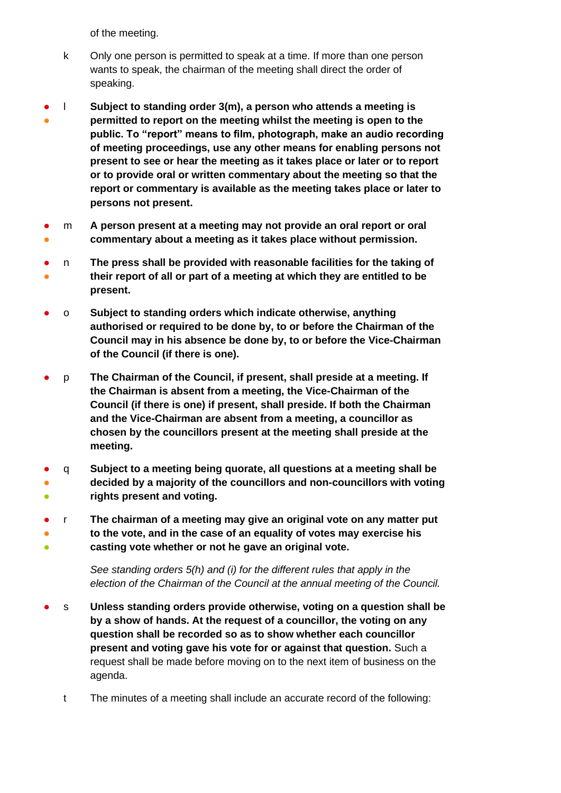of the meeting.

- k Only one person is permitted to speak at a time. If more than one person wants to speak, the chairman of the meeting shall direct the order of speaking.
- ● l **Subject to standing order 3(m), a person who attends a meeting is permitted to report on the meeting whilst the meeting is open to the public. To "report" means to film, photograph, make an audio recording of meeting proceedings, use any other means for enabling persons not present to see or hear the meeting as it takes place or later or to report or to provide oral or written commentary about the meeting so that the report or commentary is available as the meeting takes place or later to persons not present.**
- ● m **A person present at a meeting may not provide an oral report or oral commentary about a meeting as it takes place without permission.**
- ● n **The press shall be provided with reasonable facilities for the taking of their report of all or part of a meeting at which they are entitled to be present.**
- o **Subject to standing orders which indicate otherwise, anything authorised or required to be done by, to or before the Chairman of the Council may in his absence be done by, to or before the Vice-Chairman of the Council (if there is one).**
- p **The Chairman of the Council, if present, shall preside at a meeting. If the Chairman is absent from a meeting, the Vice-Chairman of the Council (if there is one) if present, shall preside. If both the Chairman and the Vice-Chairman are absent from a meeting, a councillor as chosen by the councillors present at the meeting shall preside at the meeting.**
- ● ● q **Subject to a meeting being quorate, all questions at a meeting shall be decided by a majority of the councillors and non-councillors with voting rights present and voting.**
- ● ● r **The chairman of a meeting may give an original vote on any matter put to the vote, and in the case of an equality of votes may exercise his casting vote whether or not he gave an original vote.**

*See standing orders 5(h) and (i) for the different rules that apply in the election of the Chairman of the Council at the annual meeting of the Council.*

- s **Unless standing orders provide otherwise, voting on a question shall be by a show of hands. At the request of a councillor, the voting on any question shall be recorded so as to show whether each councillor present and voting gave his vote for or against that question.** Such a request shall be made before moving on to the next item of business on the agenda.
	- t The minutes of a meeting shall include an accurate record of the following: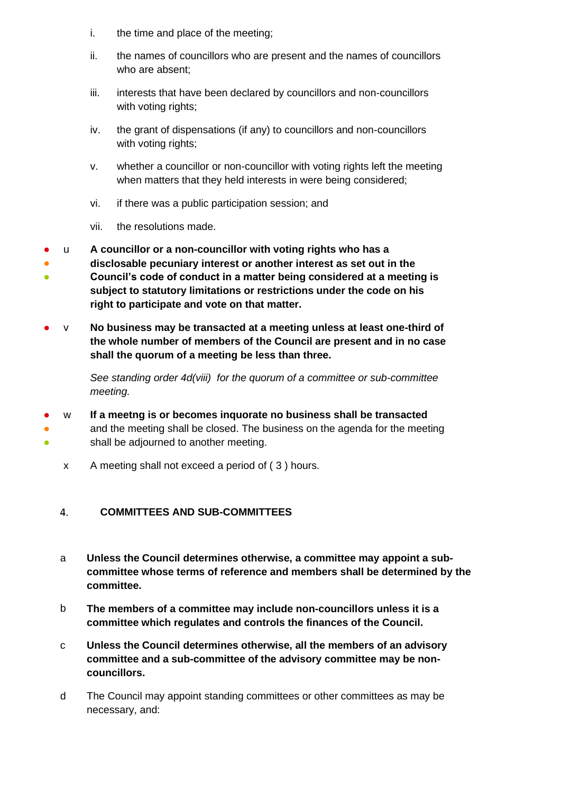- i. the time and place of the meeting;
- ii. the names of councillors who are present and the names of councillors who are absent;
- iii. interests that have been declared by councillors and non-councillors with voting rights;
- iv. the grant of dispensations (if any) to councillors and non-councillors with voting rights;
- v. whether a councillor or non-councillor with voting rights left the meeting when matters that they held interests in were being considered;
- vi. if there was a public participation session; and
- vii. the resolutions made.
- u **A councillor or a non-councillor with voting rights who has a**
- ● **disclosable pecuniary interest or another interest as set out in the Council's code of conduct in a matter being considered at a meeting is subject to statutory limitations or restrictions under the code on his right to participate and vote on that matter.**
- v **No business may be transacted at a meeting unless at least one-third of the whole number of members of the Council are present and in no case shall the quorum of a meeting be less than three.**

*See standing order 4d(viii) for the quorum of a committee or sub-committee meeting.* 

- w **If a meetng is or becomes inquorate no business shall be transacted**
- ● and the meeting shall be closed. The business on the agenda for the meeting shall be adjourned to another meeting.
	- x A meeting shall not exceed a period of ( 3 ) hours.

#### <span id="page-7-0"></span>**COMMITTEES AND SUB-COMMITTEES** 4.

- a **Unless the Council determines otherwise, a committee may appoint a subcommittee whose terms of reference and members shall be determined by the committee.**
- b **The members of a committee may include non-councillors unless it is a committee which regulates and controls the finances of the Council.**
- c **Unless the Council determines otherwise, all the members of an advisory committee and a sub-committee of the advisory committee may be noncouncillors.**
- d The Council may appoint standing committees or other committees as may be necessary, and: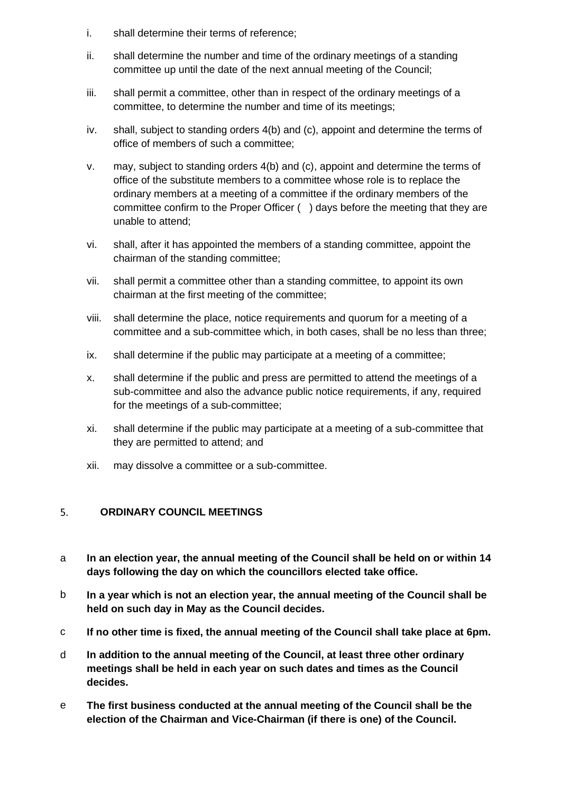- i. shall determine their terms of reference;
- ii. shall determine the number and time of the ordinary meetings of a standing committee up until the date of the next annual meeting of the Council;
- iii. shall permit a committee, other than in respect of the ordinary meetings of a committee, to determine the number and time of its meetings;
- iv. shall, subject to standing orders 4(b) and (c), appoint and determine the terms of office of members of such a committee;
- v. may, subject to standing orders 4(b) and (c), appoint and determine the terms of office of the substitute members to a committee whose role is to replace the ordinary members at a meeting of a committee if the ordinary members of the committee confirm to the Proper Officer ( ) days before the meeting that they are unable to attend;
- vi. shall, after it has appointed the members of a standing committee, appoint the chairman of the standing committee;
- vii. shall permit a committee other than a standing committee, to appoint its own chairman at the first meeting of the committee;
- viii. shall determine the place, notice requirements and quorum for a meeting of a committee and a sub-committee which, in both cases, shall be no less than three;
- ix. shall determine if the public may participate at a meeting of a committee;
- x. shall determine if the public and press are permitted to attend the meetings of a sub-committee and also the advance public notice requirements, if any, required for the meetings of a sub-committee;
- xi. shall determine if the public may participate at a meeting of a sub-committee that they are permitted to attend; and
- xii. may dissolve a committee or a sub-committee.

#### <span id="page-8-0"></span> $5.$ **ORDINARY COUNCIL MEETINGS**

- a **In an election year, the annual meeting of the Council shall be held on or within 14 days following the day on which the councillors elected take office.**
- b **In a year which is not an election year, the annual meeting of the Council shall be held on such day in May as the Council decides.**
- c **If no other time is fixed, the annual meeting of the Council shall take place at 6pm.**
- d **In addition to the annual meeting of the Council, at least three other ordinary meetings shall be held in each year on such dates and times as the Council decides.**
- e **The first business conducted at the annual meeting of the Council shall be the election of the Chairman and Vice-Chairman (if there is one) of the Council.**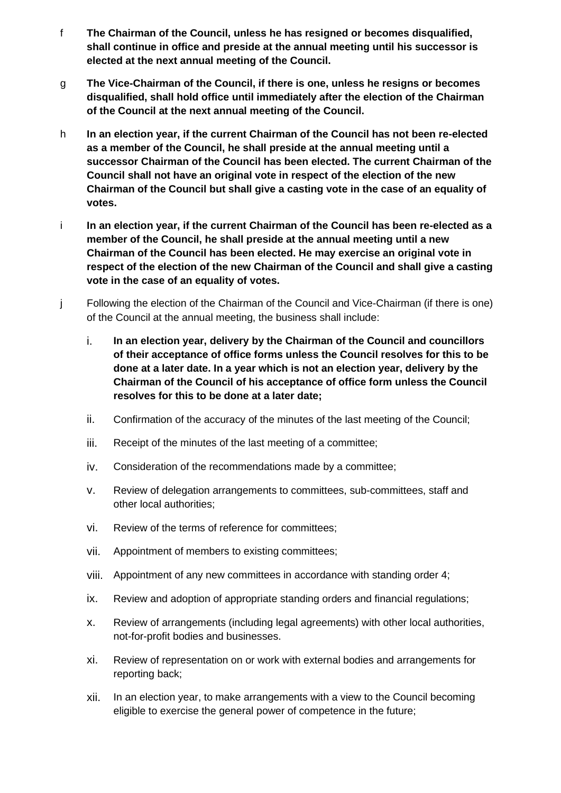- f **The Chairman of the Council, unless he has resigned or becomes disqualified, shall continue in office and preside at the annual meeting until his successor is elected at the next annual meeting of the Council.**
- g **The Vice-Chairman of the Council, if there is one, unless he resigns or becomes disqualified, shall hold office until immediately after the election of the Chairman of the Council at the next annual meeting of the Council.**
- h **In an election year, if the current Chairman of the Council has not been re-elected as a member of the Council, he shall preside at the annual meeting until a successor Chairman of the Council has been elected. The current Chairman of the Council shall not have an original vote in respect of the election of the new Chairman of the Council but shall give a casting vote in the case of an equality of votes.**
- i **In an election year, if the current Chairman of the Council has been re-elected as a member of the Council, he shall preside at the annual meeting until a new Chairman of the Council has been elected. He may exercise an original vote in respect of the election of the new Chairman of the Council and shall give a casting vote in the case of an equality of votes.**
- j Following the election of the Chairman of the Council and Vice-Chairman (if there is one) of the Council at the annual meeting, the business shall include:
	- i. **In an election year, delivery by the Chairman of the Council and councillors of their acceptance of office forms unless the Council resolves for this to be done at a later date. In a year which is not an election year, delivery by the Chairman of the Council of his acceptance of office form unless the Council resolves for this to be done at a later date;**
	- ii. Confirmation of the accuracy of the minutes of the last meeting of the Council;
	- iii. Receipt of the minutes of the last meeting of a committee;
	- iv. Consideration of the recommendations made by a committee;
	- v. Review of delegation arrangements to committees, sub-committees, staff and other local authorities;
	- vi. Review of the terms of reference for committees;
	- vii. Appointment of members to existing committees;
	- viii. Appointment of any new committees in accordance with standing order 4;
	- ix. Review and adoption of appropriate standing orders and financial regulations;
	- x. Review of arrangements (including legal agreements) with other local authorities, not-for-profit bodies and businesses.
	- xi. Review of representation on or work with external bodies and arrangements for reporting back;
	- xii. In an election year, to make arrangements with a view to the Council becoming eligible to exercise the general power of competence in the future;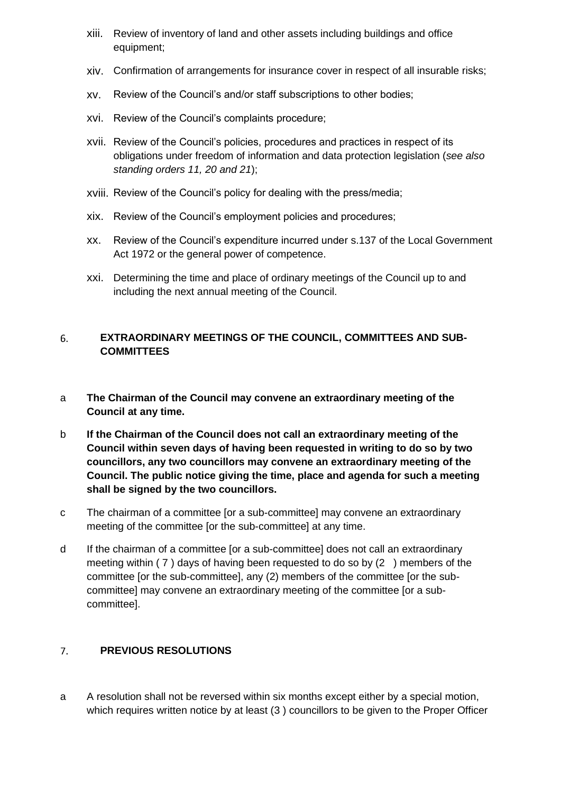- xiii. Review of inventory of land and other assets including buildings and office equipment;
- xiv. Confirmation of arrangements for insurance cover in respect of all insurable risks;
- xv. Review of the Council's and/or staff subscriptions to other bodies;
- xvi. Review of the Council's complaints procedure;
- xvii. Review of the Council's policies, procedures and practices in respect of its obligations under freedom of information and data protection legislation (*see also standing orders 11, 20 and 21*);
- xviii. Review of the Council's policy for dealing with the press/media;
- xix. Review of the Council's employment policies and procedures;
- xx. Review of the Council's expenditure incurred under s.137 of the Local Government Act 1972 or the general power of competence.
- xxi. Determining the time and place of ordinary meetings of the Council up to and including the next annual meeting of the Council.

### <span id="page-10-0"></span>6. **EXTRAORDINARY MEETINGS OF THE COUNCIL, COMMITTEES AND SUB-COMMITTEES**

- a **The Chairman of the Council may convene an extraordinary meeting of the Council at any time.**
- b **If the Chairman of the Council does not call an extraordinary meeting of the Council within seven days of having been requested in writing to do so by two councillors, any two councillors may convene an extraordinary meeting of the Council. The public notice giving the time, place and agenda for such a meeting shall be signed by the two councillors.**
- c The chairman of a committee [or a sub-committee] may convene an extraordinary meeting of the committee [or the sub-committee] at any time.
- d If the chairman of a committee [or a sub-committee] does not call an extraordinary meeting within ( 7 ) days of having been requested to do so by (2 ) members of the committee [or the sub-committee], any (2) members of the committee [or the subcommittee] may convene an extraordinary meeting of the committee [or a subcommittee].

#### <span id="page-10-1"></span> $7.$ **PREVIOUS RESOLUTIONS**

a A resolution shall not be reversed within six months except either by a special motion, which requires written notice by at least (3 ) councillors to be given to the Proper Officer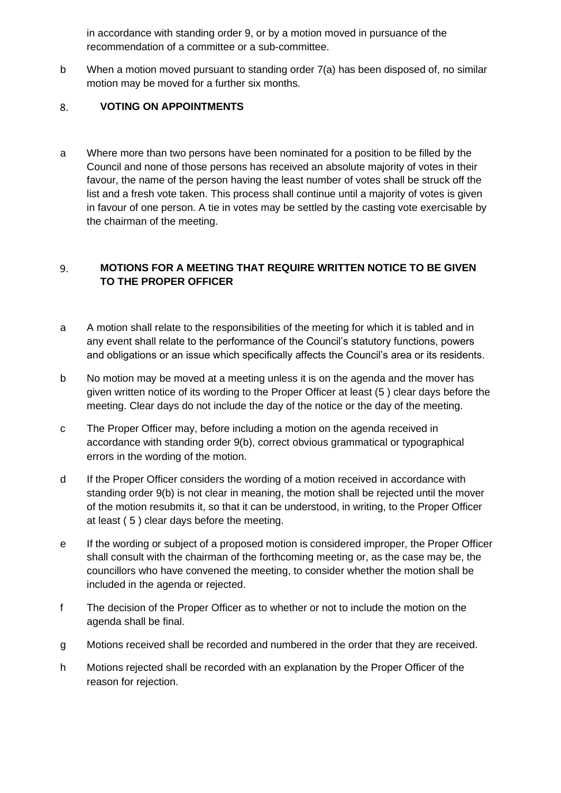in accordance with standing order 9, or by a motion moved in pursuance of the recommendation of a committee or a sub-committee.

b When a motion moved pursuant to standing order 7(a) has been disposed of, no similar motion may be moved for a further six months.

#### <span id="page-11-0"></span>8. **VOTING ON APPOINTMENTS**

a Where more than two persons have been nominated for a position to be filled by the Council and none of those persons has received an absolute majority of votes in their favour, the name of the person having the least number of votes shall be struck off the list and a fresh vote taken. This process shall continue until a majority of votes is given in favour of one person. A tie in votes may be settled by the casting vote exercisable by the chairman of the meeting.

## <span id="page-11-1"></span>9. **MOTIONS FOR A MEETING THAT REQUIRE WRITTEN NOTICE TO BE GIVEN TO THE PROPER OFFICER**

- a A motion shall relate to the responsibilities of the meeting for which it is tabled and in any event shall relate to the performance of the Council's statutory functions, powers and obligations or an issue which specifically affects the Council's area or its residents.
- b No motion may be moved at a meeting unless it is on the agenda and the mover has given written notice of its wording to the Proper Officer at least (5 ) clear days before the meeting. Clear days do not include the day of the notice or the day of the meeting.
- c The Proper Officer may, before including a motion on the agenda received in accordance with standing order 9(b), correct obvious grammatical or typographical errors in the wording of the motion.
- d If the Proper Officer considers the wording of a motion received in accordance with standing order 9(b) is not clear in meaning, the motion shall be rejected until the mover of the motion resubmits it, so that it can be understood, in writing, to the Proper Officer at least ( 5 ) clear days before the meeting.
- e If the wording or subject of a proposed motion is considered improper, the Proper Officer shall consult with the chairman of the forthcoming meeting or, as the case may be, the councillors who have convened the meeting, to consider whether the motion shall be included in the agenda or rejected.
- f The decision of the Proper Officer as to whether or not to include the motion on the agenda shall be final.
- g Motions received shall be recorded and numbered in the order that they are received.
- h Motions rejected shall be recorded with an explanation by the Proper Officer of the reason for rejection.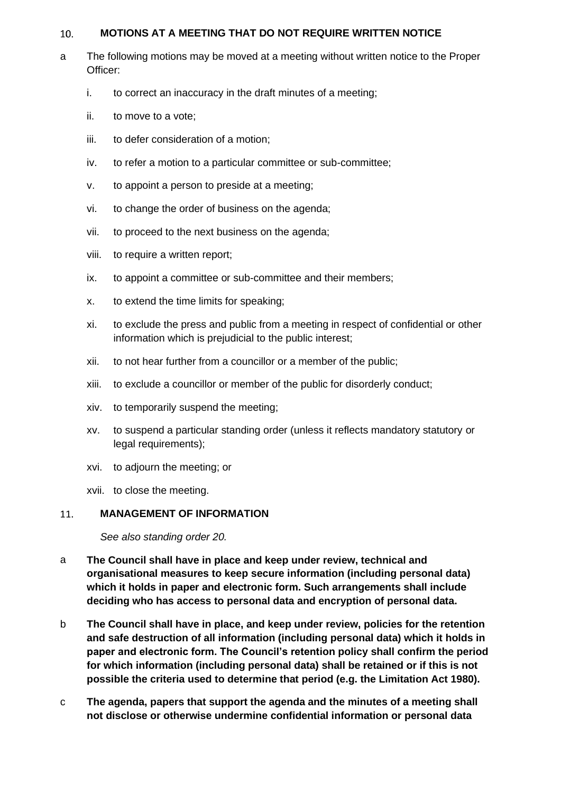#### <span id="page-12-0"></span>**MOTIONS AT A MEETING THAT DO NOT REQUIRE WRITTEN NOTICE**   $10.$

- a The following motions may be moved at a meeting without written notice to the Proper Officer:
	- i. to correct an inaccuracy in the draft minutes of a meeting;
	- ii. to move to a vote;
	- iii. to defer consideration of a motion;
	- iv. to refer a motion to a particular committee or sub-committee;
	- v. to appoint a person to preside at a meeting;
	- vi. to change the order of business on the agenda;
	- vii. to proceed to the next business on the agenda;
	- viii. to require a written report;
	- ix. to appoint a committee or sub-committee and their members;
	- x. to extend the time limits for speaking;
	- xi. to exclude the press and public from a meeting in respect of confidential or other information which is prejudicial to the public interest;
	- xii. to not hear further from a councillor or a member of the public;
	- xiii. to exclude a councillor or member of the public for disorderly conduct;
	- xiv. to temporarily suspend the meeting;
	- xv. to suspend a particular standing order (unless it reflects mandatory statutory or legal requirements);
	- xvi. to adjourn the meeting; or
	- xvii. to close the meeting.

#### <span id="page-12-1"></span>**MANAGEMENT OF INFORMATION**   $11.$

*See also standing order 20.*

- a **The Council shall have in place and keep under review, technical and organisational measures to keep secure information (including personal data) which it holds in paper and electronic form. Such arrangements shall include deciding who has access to personal data and encryption of personal data.**
- b **The Council shall have in place, and keep under review, policies for the retention and safe destruction of all information (including personal data) which it holds in paper and electronic form. The Council's retention policy shall confirm the period for which information (including personal data) shall be retained or if this is not possible the criteria used to determine that period (e.g. the Limitation Act 1980).**
- c **The agenda, papers that support the agenda and the minutes of a meeting shall not disclose or otherwise undermine confidential information or personal data**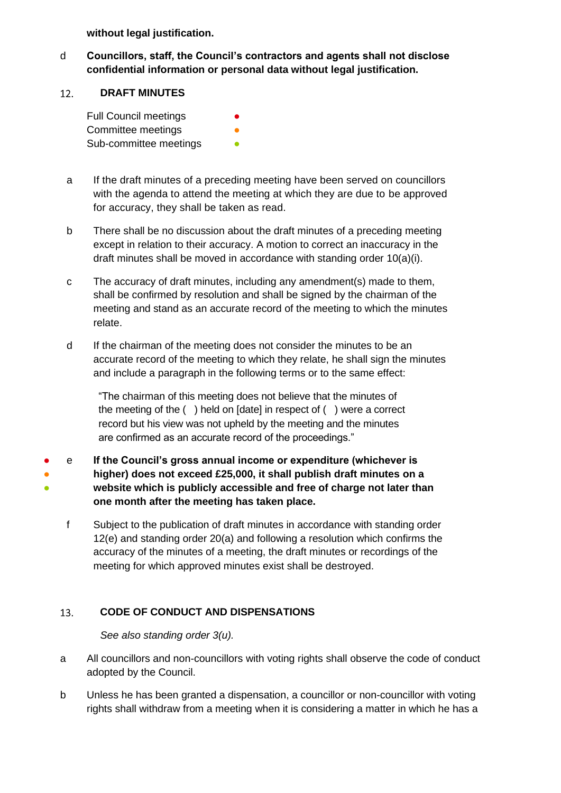**without legal justification.** 

d **Councillors, staff, the Council's contractors and agents shall not disclose confidential information or personal data without legal justification.**

#### <span id="page-13-0"></span>**DRAFT MINUTES**  12.

| <b>Full Council meetings</b> |  |
|------------------------------|--|
| Committee meetings           |  |
| Sub-committee meetings       |  |

- a If the draft minutes of a preceding meeting have been served on councillors with the agenda to attend the meeting at which they are due to be approved for accuracy, they shall be taken as read.
- b There shall be no discussion about the draft minutes of a preceding meeting except in relation to their accuracy. A motion to correct an inaccuracy in the draft minutes shall be moved in accordance with standing order 10(a)(i).
- c The accuracy of draft minutes, including any amendment(s) made to them, shall be confirmed by resolution and shall be signed by the chairman of the meeting and stand as an accurate record of the meeting to which the minutes relate.
- d If the chairman of the meeting does not consider the minutes to be an accurate record of the meeting to which they relate, he shall sign the minutes and include a paragraph in the following terms or to the same effect:

"The chairman of this meeting does not believe that the minutes of the meeting of the ( ) held on [date] in respect of ( ) were a correct record but his view was not upheld by the meeting and the minutes are confirmed as an accurate record of the proceedings."

- e **If the Council's gross annual income or expenditure (whichever is**
- ● **higher) does not exceed £25,000, it shall publish draft minutes on a website which is publicly accessible and free of charge not later than one month after the meeting has taken place.**
	- f Subject to the publication of draft minutes in accordance with standing order 12(e) and standing order 20(a) and following a resolution which confirms the accuracy of the minutes of a meeting, the draft minutes or recordings of the meeting for which approved minutes exist shall be destroyed.

#### <span id="page-13-1"></span>13. **CODE OF CONDUCT AND DISPENSATIONS**

*See also standing order 3(u).* 

- a All councillors and non-councillors with voting rights shall observe the code of conduct adopted by the Council.
- b Unless he has been granted a dispensation, a councillor or non-councillor with voting rights shall withdraw from a meeting when it is considering a matter in which he has a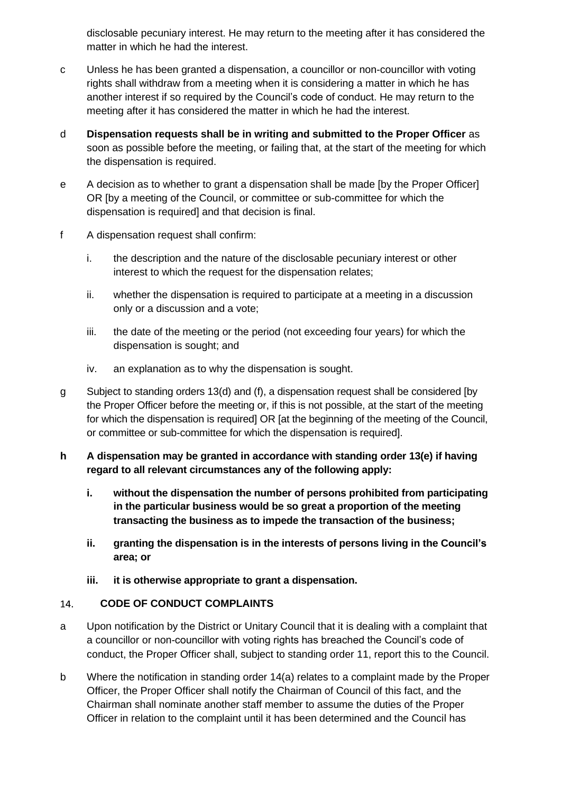disclosable pecuniary interest. He may return to the meeting after it has considered the matter in which he had the interest.

- c Unless he has been granted a dispensation, a councillor or non-councillor with voting rights shall withdraw from a meeting when it is considering a matter in which he has another interest if so required by the Council's code of conduct. He may return to the meeting after it has considered the matter in which he had the interest.
- d **Dispensation requests shall be in writing and submitted to the Proper Officer** as soon as possible before the meeting, or failing that, at the start of the meeting for which the dispensation is required.
- e A decision as to whether to grant a dispensation shall be made [by the Proper Officer] OR [by a meeting of the Council, or committee or sub-committee for which the dispensation is required] and that decision is final.
- f A dispensation request shall confirm:
	- i. the description and the nature of the disclosable pecuniary interest or other interest to which the request for the dispensation relates;
	- ii. whether the dispensation is required to participate at a meeting in a discussion only or a discussion and a vote;
	- iii. the date of the meeting or the period (not exceeding four years) for which the dispensation is sought; and
	- iv. an explanation as to why the dispensation is sought.
- g Subject to standing orders 13(d) and (f), a dispensation request shall be considered [by the Proper Officer before the meeting or, if this is not possible, at the start of the meeting for which the dispensation is required] OR [at the beginning of the meeting of the Council, or committee or sub-committee for which the dispensation is required].
- **h A dispensation may be granted in accordance with standing order 13(e) if having regard to all relevant circumstances any of the following apply:**
	- **i. without the dispensation the number of persons prohibited from participating in the particular business would be so great a proportion of the meeting transacting the business as to impede the transaction of the business;**
	- **ii. granting the dispensation is in the interests of persons living in the Council's area; or**
	- **iii. it is otherwise appropriate to grant a dispensation.**

#### <span id="page-14-0"></span>14. **CODE OF CONDUCT COMPLAINTS**

- a Upon notification by the District or Unitary Council that it is dealing with a complaint that a councillor or non-councillor with voting rights has breached the Council's code of conduct, the Proper Officer shall, subject to standing order 11, report this to the Council.
- b Where the notification in standing order 14(a) relates to a complaint made by the Proper Officer, the Proper Officer shall notify the Chairman of Council of this fact, and the Chairman shall nominate another staff member to assume the duties of the Proper Officer in relation to the complaint until it has been determined and the Council has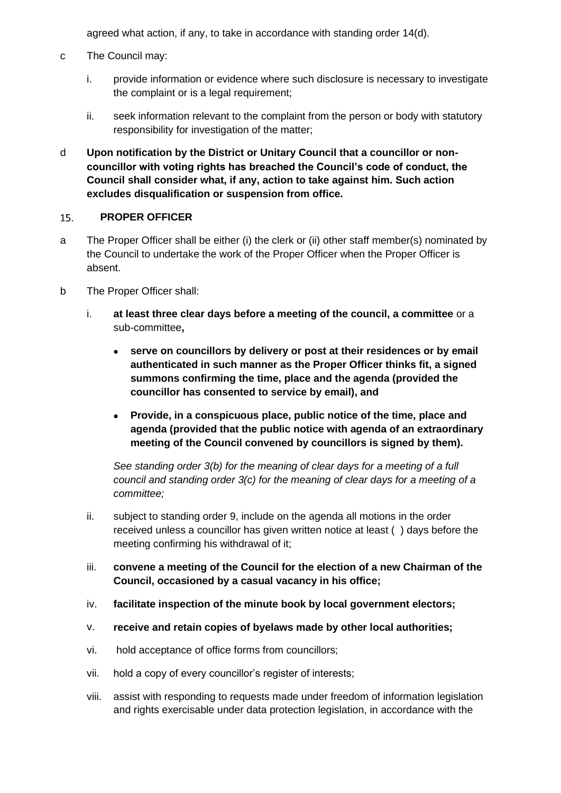agreed what action, if any, to take in accordance with standing order 14(d).

- c The Council may:
	- i. provide information or evidence where such disclosure is necessary to investigate the complaint or is a legal requirement;
	- ii. seek information relevant to the complaint from the person or body with statutory responsibility for investigation of the matter;
- d **Upon notification by the District or Unitary Council that a councillor or noncouncillor with voting rights has breached the Council's code of conduct, the Council shall consider what, if any, action to take against him. Such action excludes disqualification or suspension from office.**

#### <span id="page-15-0"></span>15. **PROPER OFFICER**

- a The Proper Officer shall be either (i) the clerk or (ii) other staff member(s) nominated by the Council to undertake the work of the Proper Officer when the Proper Officer is absent.
- b The Proper Officer shall:
	- i. **at least three clear days before a meeting of the council, a committee** or a sub-committee**,**
		- **serve on councillors by delivery or post at their residences or by email authenticated in such manner as the Proper Officer thinks fit, a signed summons confirming the time, place and the agenda (provided the councillor has consented to service by email), and**
		- **Provide, in a conspicuous place, public notice of the time, place and agenda (provided that the public notice with agenda of an extraordinary meeting of the Council convened by councillors is signed by them).**

*See standing order 3(b) for the meaning of clear days for a meeting of a full council and standing order 3(c) for the meaning of clear days for a meeting of a committee;*

- ii. subject to standing order 9, include on the agenda all motions in the order received unless a councillor has given written notice at least ( ) days before the meeting confirming his withdrawal of it;
- iii. **convene a meeting of the Council for the election of a new Chairman of the Council, occasioned by a casual vacancy in his office;**
- iv. **facilitate inspection of the minute book by local government electors;**
- v. **receive and retain copies of byelaws made by other local authorities;**
- vi. hold acceptance of office forms from councillors;
- vii. hold a copy of every councillor's register of interests;
- viii. assist with responding to requests made under freedom of information legislation and rights exercisable under data protection legislation, in accordance with the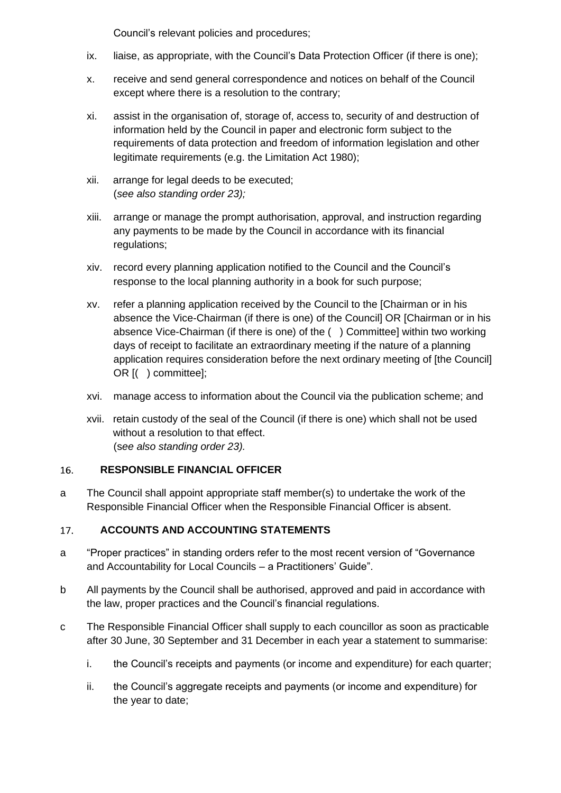Council's relevant policies and procedures;

- ix. liaise, as appropriate, with the Council's Data Protection Officer (if there is one);
- x. receive and send general correspondence and notices on behalf of the Council except where there is a resolution to the contrary;
- xi. assist in the organisation of, storage of, access to, security of and destruction of information held by the Council in paper and electronic form subject to the requirements of data protection and freedom of information legislation and other legitimate requirements (e.g. the Limitation Act 1980);
- xii. arrange for legal deeds to be executed; (*see also standing order 23);*
- xiii. arrange or manage the prompt authorisation, approval, and instruction regarding any payments to be made by the Council in accordance with its financial regulations;
- xiv. record every planning application notified to the Council and the Council's response to the local planning authority in a book for such purpose;
- xv. refer a planning application received by the Council to the [Chairman or in his absence the Vice-Chairman (if there is one) of the Council] OR [Chairman or in his absence Vice-Chairman (if there is one) of the ( ) Committee] within two working days of receipt to facilitate an extraordinary meeting if the nature of a planning application requires consideration before the next ordinary meeting of [the Council] OR [( ) committee];
- xvi. manage access to information about the Council via the publication scheme; and
- xvii. retain custody of the seal of the Council (if there is one) which shall not be used without a resolution to that effect. (s*ee also standing order 23).*

#### <span id="page-16-0"></span>**RESPONSIBLE FINANCIAL OFFICER**   $16.$

a The Council shall appoint appropriate staff member(s) to undertake the work of the Responsible Financial Officer when the Responsible Financial Officer is absent.

#### <span id="page-16-1"></span>17. **ACCOUNTS AND ACCOUNTING STATEMENTS**

- a "Proper practices" in standing orders refer to the most recent version of "Governance and Accountability for Local Councils – a Practitioners' Guide".
- b All payments by the Council shall be authorised, approved and paid in accordance with the law, proper practices and the Council's financial regulations.
- c The Responsible Financial Officer shall supply to each councillor as soon as practicable after 30 June, 30 September and 31 December in each year a statement to summarise:
	- i. the Council's receipts and payments (or income and expenditure) for each quarter;
	- ii. the Council's aggregate receipts and payments (or income and expenditure) for the year to date;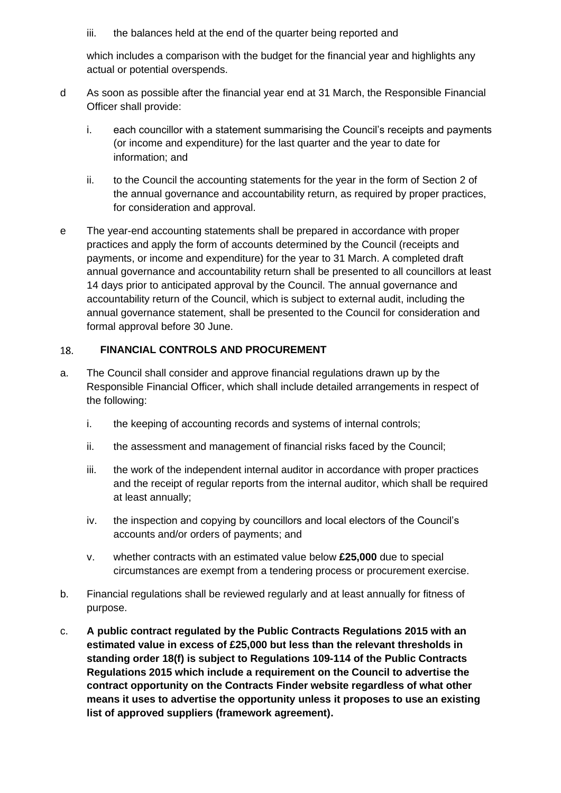iii. the balances held at the end of the quarter being reported and

which includes a comparison with the budget for the financial year and highlights any actual or potential overspends.

- d As soon as possible after the financial year end at 31 March, the Responsible Financial Officer shall provide:
	- i. each councillor with a statement summarising the Council's receipts and payments (or income and expenditure) for the last quarter and the year to date for information; and
	- ii. to the Council the accounting statements for the year in the form of Section 2 of the annual governance and accountability return, as required by proper practices, for consideration and approval.
- e The year-end accounting statements shall be prepared in accordance with proper practices and apply the form of accounts determined by the Council (receipts and payments, or income and expenditure) for the year to 31 March. A completed draft annual governance and accountability return shall be presented to all councillors at least 14 days prior to anticipated approval by the Council. The annual governance and accountability return of the Council, which is subject to external audit, including the annual governance statement, shall be presented to the Council for consideration and formal approval before 30 June.

#### <span id="page-17-0"></span>**FINANCIAL CONTROLS AND PROCUREMENT** 18.

- a. The Council shall consider and approve financial regulations drawn up by the Responsible Financial Officer, which shall include detailed arrangements in respect of the following:
	- i. the keeping of accounting records and systems of internal controls;
	- ii. the assessment and management of financial risks faced by the Council;
	- iii. the work of the independent internal auditor in accordance with proper practices and the receipt of regular reports from the internal auditor, which shall be required at least annually;
	- iv. the inspection and copying by councillors and local electors of the Council's accounts and/or orders of payments; and
	- v. whether contracts with an estimated value below **£25,000** due to special circumstances are exempt from a tendering process or procurement exercise.
- b. Financial regulations shall be reviewed regularly and at least annually for fitness of purpose.
- c. **A public contract regulated by the Public Contracts Regulations 2015 with an estimated value in excess of £25,000 but less than the relevant thresholds in standing order 18(f) is subject to Regulations 109-114 of the Public Contracts Regulations 2015 which include a requirement on the Council to advertise the contract opportunity on the Contracts Finder website regardless of what other means it uses to advertise the opportunity unless it proposes to use an existing list of approved suppliers (framework agreement).**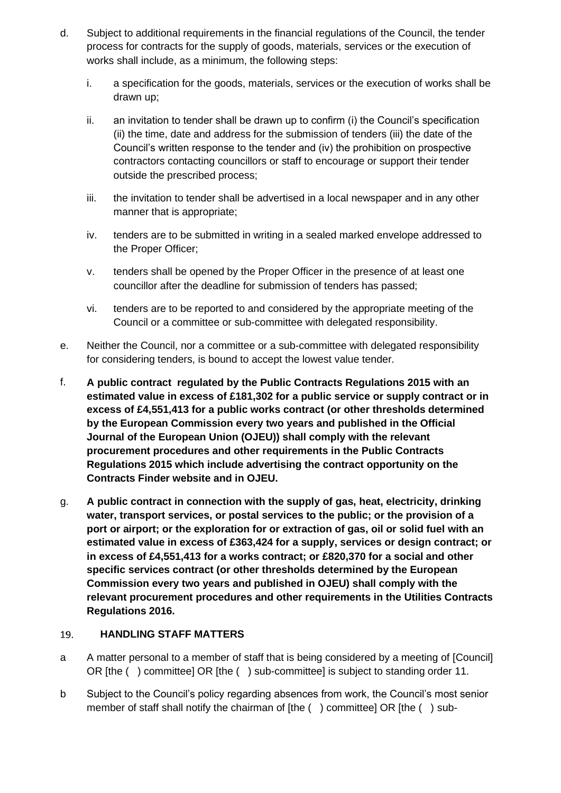- d. Subject to additional requirements in the financial regulations of the Council, the tender process for contracts for the supply of goods, materials, services or the execution of works shall include, as a minimum, the following steps:
	- i. a specification for the goods, materials, services or the execution of works shall be drawn up;
	- ii. an invitation to tender shall be drawn up to confirm (i) the Council's specification (ii) the time, date and address for the submission of tenders (iii) the date of the Council's written response to the tender and (iv) the prohibition on prospective contractors contacting councillors or staff to encourage or support their tender outside the prescribed process;
	- iii. the invitation to tender shall be advertised in a local newspaper and in any other manner that is appropriate;
	- iv. tenders are to be submitted in writing in a sealed marked envelope addressed to the Proper Officer;
	- v. tenders shall be opened by the Proper Officer in the presence of at least one councillor after the deadline for submission of tenders has passed;
	- vi. tenders are to be reported to and considered by the appropriate meeting of the Council or a committee or sub-committee with delegated responsibility.
- e. Neither the Council, nor a committee or a sub-committee with delegated responsibility for considering tenders, is bound to accept the lowest value tender.
- f. **A public contract regulated by the Public Contracts Regulations 2015 with an estimated value in excess of £181,302 for a public service or supply contract or in excess of £4,551,413 for a public works contract (or other thresholds determined by the European Commission every two years and published in the Official Journal of the European Union (OJEU)) shall comply with the relevant procurement procedures and other requirements in the Public Contracts Regulations 2015 which include advertising the contract opportunity on the Contracts Finder website and in OJEU.**
- g. **A public contract in connection with the supply of gas, heat, electricity, drinking water, transport services, or postal services to the public; or the provision of a port or airport; or the exploration for or extraction of gas, oil or solid fuel with an estimated value in excess of £363,424 for a supply, services or design contract; or in excess of £4,551,413 for a works contract; or £820,370 for a social and other specific services contract (or other thresholds determined by the European Commission every two years and published in OJEU) shall comply with the relevant procurement procedures and other requirements in the Utilities Contracts Regulations 2016.**

#### <span id="page-18-0"></span>19. **HANDLING STAFF MATTERS**

- a A matter personal to a member of staff that is being considered by a meeting of [Council] OR [the ( ) committee] OR [the ( ) sub-committee] is subject to standing order 11.
- b Subject to the Council's policy regarding absences from work, the Council's most senior member of staff shall notify the chairman of [the () committee] OR [the () sub-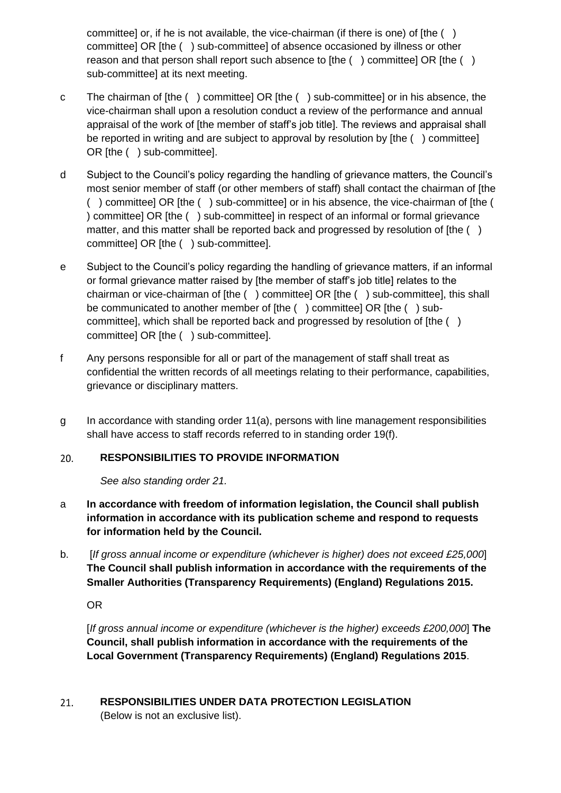committee] or, if he is not available, the vice-chairman (if there is one) of [the ( ) committee] OR [the ( ) sub-committee] of absence occasioned by illness or other reason and that person shall report such absence to [the () committee] OR [the () sub-committee] at its next meeting.

- c The chairman of [the ( ) committee] OR [the ( ) sub-committee] or in his absence, the vice-chairman shall upon a resolution conduct a review of the performance and annual appraisal of the work of [the member of staff's job title]. The reviews and appraisal shall be reported in writing and are subject to approval by resolution by [the ( ) committee] OR [the ( ) sub-committee].
- d Subject to the Council's policy regarding the handling of grievance matters, the Council's most senior member of staff (or other members of staff) shall contact the chairman of [the ( ) committee] OR [the ( ) sub-committee] or in his absence, the vice-chairman of [the ( ) committee] OR [the ( ) sub-committee] in respect of an informal or formal grievance matter, and this matter shall be reported back and progressed by resolution of [the () committee] OR [the ( ) sub-committee].
- e Subject to the Council's policy regarding the handling of grievance matters, if an informal or formal grievance matter raised by [the member of staff's job title] relates to the chairman or vice-chairman of [the ( ) committee] OR [the ( ) sub-committee], this shall be communicated to another member of [the ( ) committee] OR [the ( ) subcommittee], which shall be reported back and progressed by resolution of [the ( ) committee] OR [the ( ) sub-committee].
- f Any persons responsible for all or part of the management of staff shall treat as confidential the written records of all meetings relating to their performance, capabilities, grievance or disciplinary matters.
- g In accordance with standing order 11(a), persons with line management responsibilities shall have access to staff records referred to in standing order 19(f).

#### <span id="page-19-0"></span> $20.$ **RESPONSIBILITIES TO PROVIDE INFORMATION**

*See also standing order 21.*

- a **In accordance with freedom of information legislation, the Council shall publish information in accordance with its publication scheme and respond to requests for information held by the Council.**
- b. [*If gross annual income or expenditure (whichever is higher) does not exceed £25,000*] **The Council shall publish information in accordance with the requirements of the Smaller Authorities (Transparency Requirements) (England) Regulations 2015.**

OR

[*If gross annual income or expenditure (whichever is the higher) exceeds £200,000*] **The Council, shall publish information in accordance with the requirements of the Local Government (Transparency Requirements) (England) Regulations 2015**.

<span id="page-19-1"></span>**RESPONSIBILITIES UNDER DATA PROTECTION LEGISLATION**   $21.$ (Below is not an exclusive list).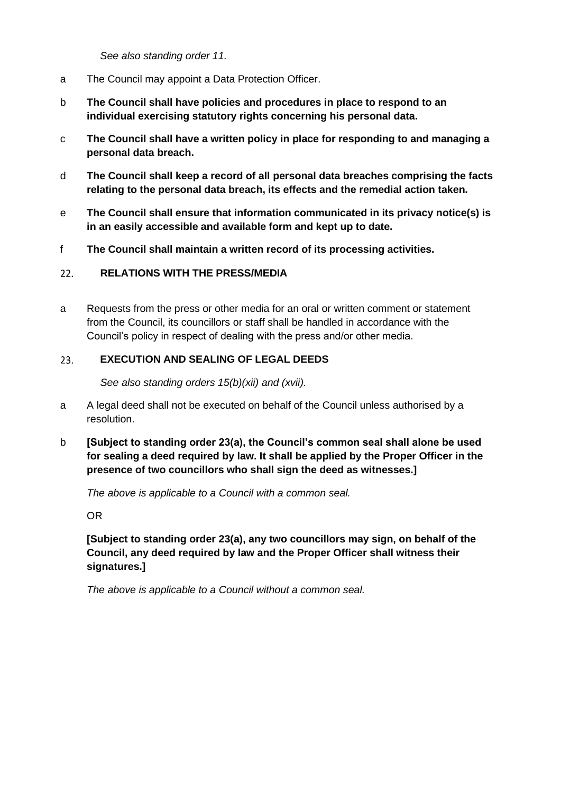*See also standing order 11.*

- a The Council may appoint a Data Protection Officer.
- b **The Council shall have policies and procedures in place to respond to an individual exercising statutory rights concerning his personal data.**
- c **The Council shall have a written policy in place for responding to and managing a personal data breach.**
- d **The Council shall keep a record of all personal data breaches comprising the facts relating to the personal data breach, its effects and the remedial action taken.**
- e **The Council shall ensure that information communicated in its privacy notice(s) is in an easily accessible and available form and kept up to date.**
- f **The Council shall maintain a written record of its processing activities.**

#### <span id="page-20-0"></span> $22.$ **RELATIONS WITH THE PRESS/MEDIA**

a Requests from the press or other media for an oral or written comment or statement from the Council, its councillors or staff shall be handled in accordance with the Council's policy in respect of dealing with the press and/or other media.

#### <span id="page-20-1"></span>**EXECUTION AND SEALING OF LEGAL DEEDS**  23.

*See also standing orders 15(b)(xii) and (xvii).*

- a A legal deed shall not be executed on behalf of the Council unless authorised by a resolution.
- b **[Subject to standing order 23(a), the Council's common seal shall alone be used for sealing a deed required by law. It shall be applied by the Proper Officer in the presence of two councillors who shall sign the deed as witnesses.]**

*The above is applicable to a Council with a common seal.*

OR

**[Subject to standing order 23(a), any two councillors may sign, on behalf of the Council, any deed required by law and the Proper Officer shall witness their signatures.]** 

<span id="page-20-2"></span>*The above is applicable to a Council without a common seal.*